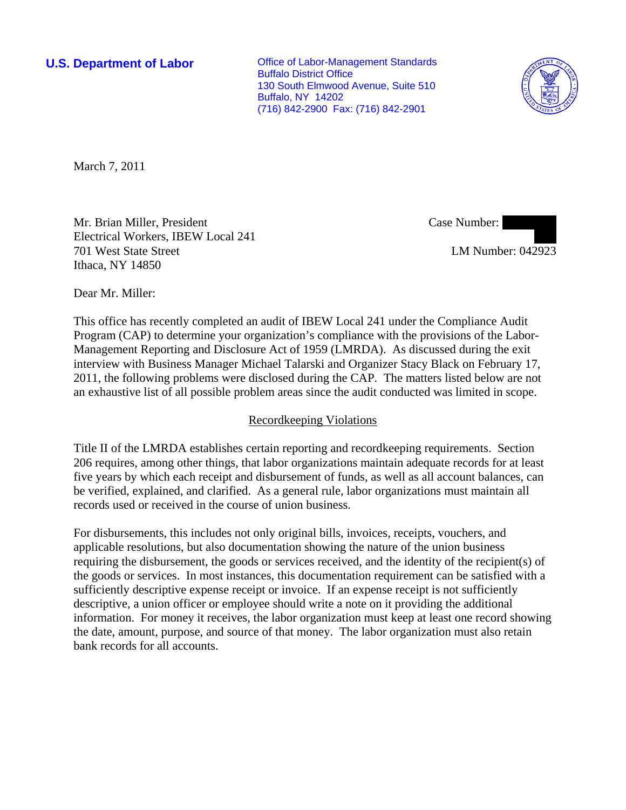**U.S. Department of Labor Conservative Conservative Conservative Conservative Conservative Conservative Conservative Conservative Conservative Conservative Conservative Conservative Conservative Conservative Conservative** Buffalo District Office 130 South Elmwood Avenue, Suite 510 Buffalo, NY 14202 (716) 842-2900 Fax: (716) 842-2901



March 7, 2011

Mr. Brian Miller, President Electrical Workers, IBEW Local 241 701 West State Street Ithaca, NY 14850

Case Number:

LM Number: 042923

Dear Mr. Miller:

This office has recently completed an audit of IBEW Local 241 under the Compliance Audit Program (CAP) to determine your organization's compliance with the provisions of the Labor-Management Reporting and Disclosure Act of 1959 (LMRDA). As discussed during the exit interview with Business Manager Michael Talarski and Organizer Stacy Black on February 17, 2011, the following problems were disclosed during the CAP. The matters listed below are not an exhaustive list of all possible problem areas since the audit conducted was limited in scope.

#### Recordkeeping Violations

Title II of the LMRDA establishes certain reporting and recordkeeping requirements. Section 206 requires, among other things, that labor organizations maintain adequate records for at least five years by which each receipt and disbursement of funds, as well as all account balances, can be verified, explained, and clarified. As a general rule, labor organizations must maintain all records used or received in the course of union business.

For disbursements, this includes not only original bills, invoices, receipts, vouchers, and applicable resolutions, but also documentation showing the nature of the union business requiring the disbursement, the goods or services received, and the identity of the recipient(s) of the goods or services. In most instances, this documentation requirement can be satisfied with a sufficiently descriptive expense receipt or invoice. If an expense receipt is not sufficiently descriptive, a union officer or employee should write a note on it providing the additional information. For money it receives, the labor organization must keep at least one record showing the date, amount, purpose, and source of that money. The labor organization must also retain bank records for all accounts.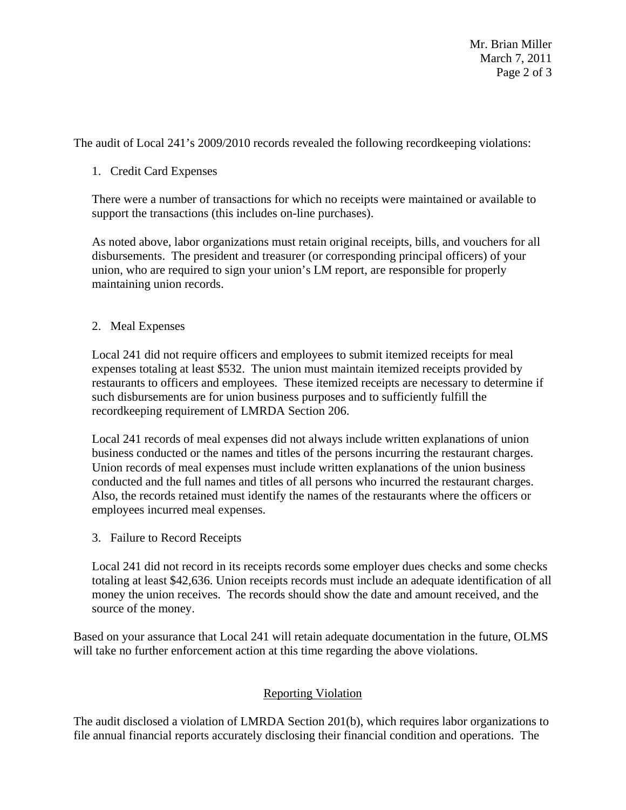Mr. Brian Miller March 7, 2011 Page 2 of 3

The audit of Local 241's 2009/2010 records revealed the following recordkeeping violations:

## 1. Credit Card Expenses

There were a number of transactions for which no receipts were maintained or available to support the transactions (this includes on-line purchases).

As noted above, labor organizations must retain original receipts, bills, and vouchers for all disbursements. The president and treasurer (or corresponding principal officers) of your union, who are required to sign your union's LM report, are responsible for properly maintaining union records.

## 2. Meal Expenses

Local 241 did not require officers and employees to submit itemized receipts for meal expenses totaling at least \$532. The union must maintain itemized receipts provided by restaurants to officers and employees. These itemized receipts are necessary to determine if such disbursements are for union business purposes and to sufficiently fulfill the recordkeeping requirement of LMRDA Section 206.

Local 241 records of meal expenses did not always include written explanations of union business conducted or the names and titles of the persons incurring the restaurant charges. Union records of meal expenses must include written explanations of the union business conducted and the full names and titles of all persons who incurred the restaurant charges. Also, the records retained must identify the names of the restaurants where the officers or employees incurred meal expenses.

3. Failure to Record Receipts

Local 241 did not record in its receipts records some employer dues checks and some checks totaling at least \$42,636. Union receipts records must include an adequate identification of all money the union receives. The records should show the date and amount received, and the source of the money.

Based on your assurance that Local 241 will retain adequate documentation in the future, OLMS will take no further enforcement action at this time regarding the above violations.

# Reporting Violation

The audit disclosed a violation of LMRDA Section 201(b), which requires labor organizations to file annual financial reports accurately disclosing their financial condition and operations. The